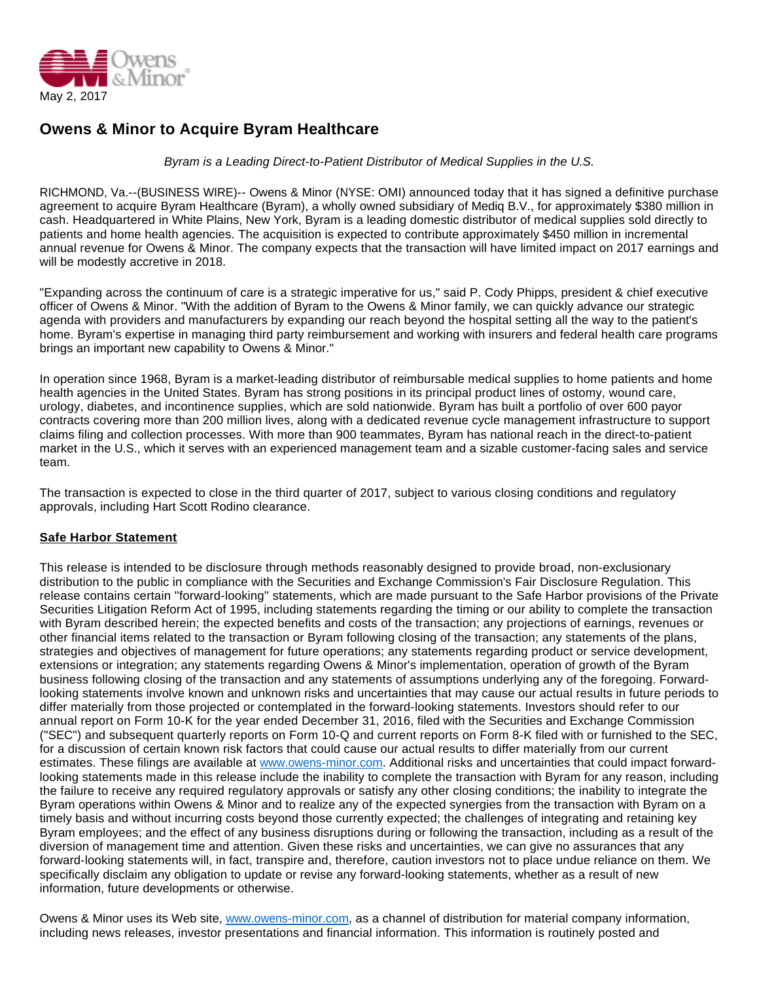

## **Owens & Minor to Acquire Byram Healthcare**

Byram is a Leading Direct-to-Patient Distributor of Medical Supplies in the U.S.

RICHMOND, Va.--(BUSINESS WIRE)-- Owens & Minor (NYSE: OMI) announced today that it has signed a definitive purchase agreement to acquire Byram Healthcare (Byram), a wholly owned subsidiary of Mediq B.V., for approximately \$380 million in cash. Headquartered in White Plains, New York, Byram is a leading domestic distributor of medical supplies sold directly to patients and home health agencies. The acquisition is expected to contribute approximately \$450 million in incremental annual revenue for Owens & Minor. The company expects that the transaction will have limited impact on 2017 earnings and will be modestly accretive in 2018.

"Expanding across the continuum of care is a strategic imperative for us," said P. Cody Phipps, president & chief executive officer of Owens & Minor. "With the addition of Byram to the Owens & Minor family, we can quickly advance our strategic agenda with providers and manufacturers by expanding our reach beyond the hospital setting all the way to the patient's home. Byram's expertise in managing third party reimbursement and working with insurers and federal health care programs brings an important new capability to Owens & Minor."

In operation since 1968, Byram is a market-leading distributor of reimbursable medical supplies to home patients and home health agencies in the United States. Byram has strong positions in its principal product lines of ostomy, wound care, urology, diabetes, and incontinence supplies, which are sold nationwide. Byram has built a portfolio of over 600 payor contracts covering more than 200 million lives, along with a dedicated revenue cycle management infrastructure to support claims filing and collection processes. With more than 900 teammates, Byram has national reach in the direct-to-patient market in the U.S., which it serves with an experienced management team and a sizable customer-facing sales and service team.

The transaction is expected to close in the third quarter of 2017, subject to various closing conditions and regulatory approvals, including Hart Scott Rodino clearance.

## **Safe Harbor Statement**

This release is intended to be disclosure through methods reasonably designed to provide broad, non-exclusionary distribution to the public in compliance with the Securities and Exchange Commission's Fair Disclosure Regulation. This release contains certain ''forward-looking'' statements, which are made pursuant to the Safe Harbor provisions of the Private Securities Litigation Reform Act of 1995, including statements regarding the timing or our ability to complete the transaction with Byram described herein; the expected benefits and costs of the transaction; any projections of earnings, revenues or other financial items related to the transaction or Byram following closing of the transaction; any statements of the plans, strategies and objectives of management for future operations; any statements regarding product or service development, extensions or integration; any statements regarding Owens & Minor's implementation, operation of growth of the Byram business following closing of the transaction and any statements of assumptions underlying any of the foregoing. Forwardlooking statements involve known and unknown risks and uncertainties that may cause our actual results in future periods to differ materially from those projected or contemplated in the forward-looking statements. Investors should refer to our annual report on Form 10-K for the year ended December 31, 2016, filed with the Securities and Exchange Commission ("SEC") and subsequent quarterly reports on Form 10-Q and current reports on Form 8-K filed with or furnished to the SEC, for a discussion of certain known risk factors that could cause our actual results to differ materially from our current estimates. These filings are available at [www.owens-minor.com.](http://cts.businesswire.com/ct/CT?id=smartlink&url=http%3A%2F%2Fwww.owens-minor.com&esheet=51552031&newsitemid=20170502006938&lan=en-US&anchor=www.owens-minor.com&index=1&md5=a36e517a2971e952b4a6dafbd8d91c7d) Additional risks and uncertainties that could impact forwardlooking statements made in this release include the inability to complete the transaction with Byram for any reason, including the failure to receive any required regulatory approvals or satisfy any other closing conditions; the inability to integrate the Byram operations within Owens & Minor and to realize any of the expected synergies from the transaction with Byram on a timely basis and without incurring costs beyond those currently expected; the challenges of integrating and retaining key Byram employees; and the effect of any business disruptions during or following the transaction, including as a result of the diversion of management time and attention. Given these risks and uncertainties, we can give no assurances that any forward-looking statements will, in fact, transpire and, therefore, caution investors not to place undue reliance on them. We specifically disclaim any obligation to update or revise any forward-looking statements, whether as a result of new information, future developments or otherwise.

Owens & Minor uses its Web site, [www.owens-minor.com](http://cts.businesswire.com/ct/CT?id=smartlink&url=http%3A%2F%2Fwww.owens-minor.com&esheet=51552031&newsitemid=20170502006938&lan=en-US&anchor=www.owens-minor.com&index=2&md5=f9ba79ea4d10ed9e5fcefbb1b6d8cb97), as a channel of distribution for material company information, including news releases, investor presentations and financial information. This information is routinely posted and